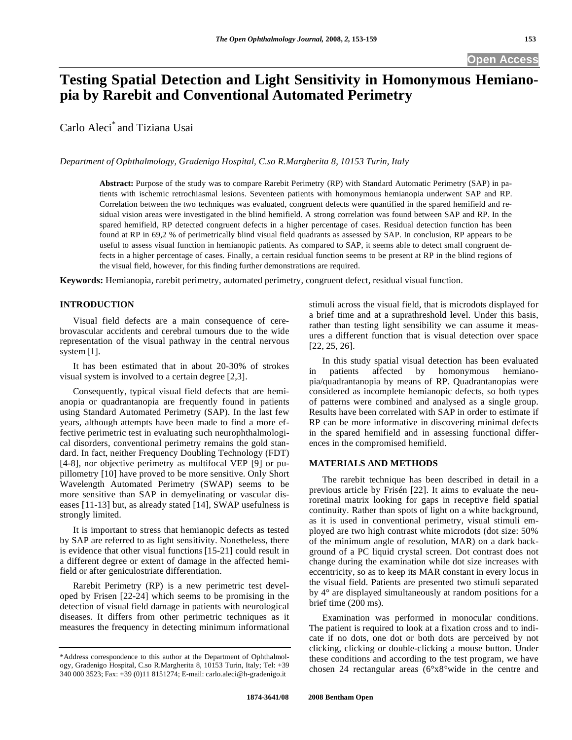# **Testing Spatial Detection and Light Sensitivity in Homonymous Hemianopia by Rarebit and Conventional Automated Perimetry**

Carlo Aleci\* and Tiziana Usai

*Department of Ophthalmology, Gradenigo Hospital, C.so R.Margherita 8, 10153 Turin, Italy* 

**Abstract:** Purpose of the study was to compare Rarebit Perimetry (RP) with Standard Automatic Perimetry (SAP) in patients with ischemic retrochiasmal lesions. Seventeen patients with homonymous hemianopia underwent SAP and RP. Correlation between the two techniques was evaluated, congruent defects were quantified in the spared hemifield and residual vision areas were investigated in the blind hemifield. A strong correlation was found between SAP and RP. In the spared hemifield, RP detected congruent defects in a higher percentage of cases. Residual detection function has been found at RP in 69,2 % of perimetrically blind visual field quadrants as assessed by SAP. In conclusion, RP appears to be useful to assess visual function in hemianopic patients. As compared to SAP, it seems able to detect small congruent defects in a higher percentage of cases. Finally, a certain residual function seems to be present at RP in the blind regions of the visual field, however, for this finding further demonstrations are required.

**Keywords:** Hemianopia, rarebit perimetry, automated perimetry, congruent defect, residual visual function.

# **INTRODUCTION**

 Visual field defects are a main consequence of cerebrovascular accidents and cerebral tumours due to the wide representation of the visual pathway in the central nervous system [1].

 It has been estimated that in about 20-30% of strokes visual system is involved to a certain degree [2,3].

 Consequently, typical visual field defects that are hemianopia or quadrantanopia are frequently found in patients using Standard Automated Perimetry (SAP). In the last few years, although attempts have been made to find a more effective perimetric test in evaluating such neurophthalmological disorders, conventional perimetry remains the gold standard. In fact, neither Frequency Doubling Technology (FDT) [4-8], nor objective perimetry as multifocal VEP [9] or pupillometry [10] have proved to be more sensitive. Only Short Wavelength Automated Perimetry (SWAP) seems to be more sensitive than SAP in demyelinating or vascular diseases [11-13] but, as already stated [14], SWAP usefulness is strongly limited.

 It is important to stress that hemianopic defects as tested by SAP are referred to as light sensitivity. Nonetheless, there is evidence that other visual functions[15-21] could result in a different degree or extent of damage in the affected hemifield or after geniculostriate differentiation.

 Rarebit Perimetry (RP) is a new perimetric test developed by Frisen [22-24] which seems to be promising in the detection of visual field damage in patients with neurological diseases. It differs from other perimetric techniques as it measures the frequency in detecting minimum informational

stimuli across the visual field, that is microdots displayed for a brief time and at a suprathreshold level. Under this basis, rather than testing light sensibility we can assume it measures a different function that is visual detection over space [22, 25, 26].

 In this study spatial visual detection has been evaluated in patients affected by homonymous hemianopia/quadrantanopia by means of RP. Quadrantanopias were considered as incomplete hemianopic defects, so both types of patterns were combined and analysed as a single group. Results have been correlated with SAP in order to estimate if RP can be more informative in discovering minimal defects in the spared hemifield and in assessing functional differences in the compromised hemifield.

# **MATERIALS AND METHODS**

 The rarebit technique has been described in detail in a previous article by Frisén [22]. It aims to evaluate the neuroretinal matrix looking for gaps in receptive field spatial continuity. Rather than spots of light on a white background, as it is used in conventional perimetry, visual stimuli employed are two high contrast white microdots (dot size: 50% of the minimum angle of resolution, MAR) on a dark background of a PC liquid crystal screen. Dot contrast does not change during the examination while dot size increases with eccentricity, so as to keep its MAR constant in every locus in the visual field. Patients are presented two stimuli separated by 4° are displayed simultaneously at random positions for a brief time (200 ms).

 Examination was performed in monocular conditions. The patient is required to look at a fixation cross and to indicate if no dots, one dot or both dots are perceived by not clicking, clicking or double-clicking a mouse button. Under these conditions and according to the test program, we have chosen 24 rectangular areas (6°x8°wide in the centre and

<sup>\*</sup>Address correspondence to this author at the Department of Ophthalmology, Gradenigo Hospital, C.so R.Margherita 8, 10153 Turin, Italy; Tel: +39 340 000 3523; Fax: +39 (0)11 8151274; E-mail: carlo.aleci@h-gradenigo.it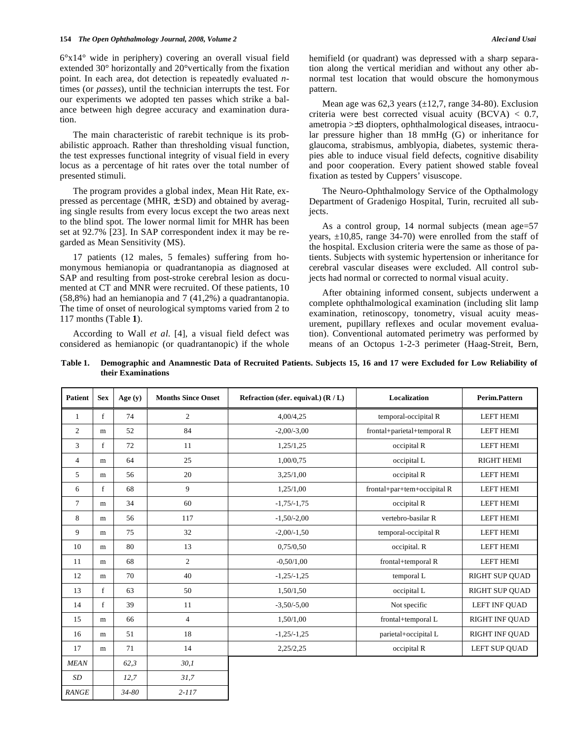6°x14° wide in periphery) covering an overall visual field extended 30° horizontally and 20°vertically from the fixation point. In each area, dot detection is repeatedly evaluated *n*times (or *passes*), until the technician interrupts the test. For our experiments we adopted ten passes which strike a balance between high degree accuracy and examination duration.

 The main characteristic of rarebit technique is its probabilistic approach. Rather than thresholding visual function, the test expresses functional integrity of visual field in every locus as a percentage of hit rates over the total number of presented stimuli.

 The program provides a global index, Mean Hit Rate, expressed as percentage (MHR,  $\pm$  SD) and obtained by averaging single results from every locus except the two areas next to the blind spot. The lower normal limit for MHR has been set at 92.7% [23]. In SAP correspondent index it may be regarded as Mean Sensitivity (MS).

 17 patients (12 males, 5 females) suffering from homonymous hemianopia or quadrantanopia as diagnosed at SAP and resulting from post-stroke cerebral lesion as documented at CT and MNR were recruited. Of these patients, 10 (58,8%) had an hemianopia and 7 (41,2%) a quadrantanopia. The time of onset of neurological symptoms varied from 2 to 117 months (Table **1**).

 According to Wall *et al*. [4], a visual field defect was considered as hemianopic (or quadrantanopic) if the whole hemifield (or quadrant) was depressed with a sharp separation along the vertical meridian and without any other abnormal test location that would obscure the homonymous pattern.

Mean age was  $62,3$  years  $(\pm 12,7, \text{range } 34-80)$ . Exclusion criteria were best corrected visual acuity  $(BCVA) < 0.7$ , ametropia >±3 diopters, ophthalmological diseases, intraocular pressure higher than 18 mmHg (G) or inheritance for glaucoma, strabismus, amblyopia, diabetes, systemic therapies able to induce visual field defects, cognitive disability and poor cooperation. Every patient showed stable foveal fixation as tested by Cuppers' visuscope.

 The Neuro-Ophthalmology Service of the Opthalmology Department of Gradenigo Hospital, Turin, recruited all subjects.

As a control group, 14 normal subjects (mean age=57 years,  $\pm 10,85$ , range 34-70) were enrolled from the staff of the hospital. Exclusion criteria were the same as those of patients. Subjects with systemic hypertension or inheritance for cerebral vascular diseases were excluded. All control subjects had normal or corrected to normal visual acuity.

 After obtaining informed consent, subjects underwent a complete ophthalmological examination (including slit lamp examination, retinoscopy, tonometry, visual acuity measurement, pupillary reflexes and ocular movement evaluation). Conventional automated perimetry was performed by means of an Octopus 1-2-3 perimeter (Haag-Streit, Bern,

**Table 1. Demographic and Anamnestic Data of Recruited Patients. Subjects 15, 16 and 17 were Excluded for Low Reliability of their Examinations** 

| <b>Patient</b> | <b>Sex</b> | Age (y) | <b>Months Since Onset</b> | Refraction (sfer. equival.) $(R/L)$ | <b>Localization</b>         | Perim.Pattern         |
|----------------|------------|---------|---------------------------|-------------------------------------|-----------------------------|-----------------------|
| $\mathbf{1}$   | f          | 74      | $\overline{c}$            | 4,00/4,25                           | temporal-occipital R        | <b>LEFT HEMI</b>      |
| $\overline{c}$ | m          | 52      | 84                        | $-2,00/-3,00$                       | frontal+parietal+temporal R | <b>LEFT HEMI</b>      |
| 3              | f          | 72      | 11                        | 1,25/1,25                           | occipital R                 | <b>LEFT HEMI</b>      |
| $\overline{4}$ | m          | 64      | 25                        | 1,00/0,75                           | occipital L                 | <b>RIGHT HEMI</b>     |
| 5              | m          | 56      | 20                        | 3,25/1,00                           | occipital R                 | <b>LEFT HEMI</b>      |
| 6              | f          | 68      | 9                         | 1,25/1,00                           | frontal+par+tem+occipital R | <b>LEFT HEMI</b>      |
| $\tau$         | m          | 34      | 60                        | $-1,75/-1,75$                       | occipital R                 | <b>LEFT HEMI</b>      |
| 8              | m          | 56      | 117                       | $-1,50/-2,00$                       | vertebro-basilar R          | <b>LEFT HEMI</b>      |
| 9              | m          | 75      | 32                        | $-2,00/-1,50$                       | temporal-occipital R        | <b>LEFT HEMI</b>      |
| 10             | m          | 80      | 13                        | 0,75/0,50                           | occipital. R                | <b>LEFT HEMI</b>      |
| 11             | m          | 68      | $\overline{c}$            | $-0.50/1,00$                        | frontal+temporal R          | <b>LEFT HEMI</b>      |
| 12             | m          | 70      | 40                        | $-1,25/-1,25$                       | temporal L                  | <b>RIGHT SUP QUAD</b> |
| 13             | f          | 63      | 50                        | 1,50/1,50                           | occipital L                 | <b>RIGHT SUP OUAD</b> |
| 14             | f          | 39      | 11                        | $-3,50/-5,00$                       | Not specific                | LEFT INF QUAD         |
| 15             | m          | 66      | $\overline{4}$            | 1,50/1,00                           | frontal+temporal L          | RIGHT INF QUAD        |
| 16             | m          | 51      | 18                        | $-1,25/-1,25$                       | parietal+occipital L        | <b>RIGHT INF OUAD</b> |
| 17             | m          | 71      | 14                        | 2,25/2,25                           | occipital R                 | LEFT SUP QUAD         |
| <b>MEAN</b>    |            | 62.3    | 30,1                      |                                     |                             |                       |
| SD             |            | 12,7    | 31,7                      |                                     |                             |                       |
| <b>RANGE</b>   |            | 34-80   | $2 - 117$                 |                                     |                             |                       |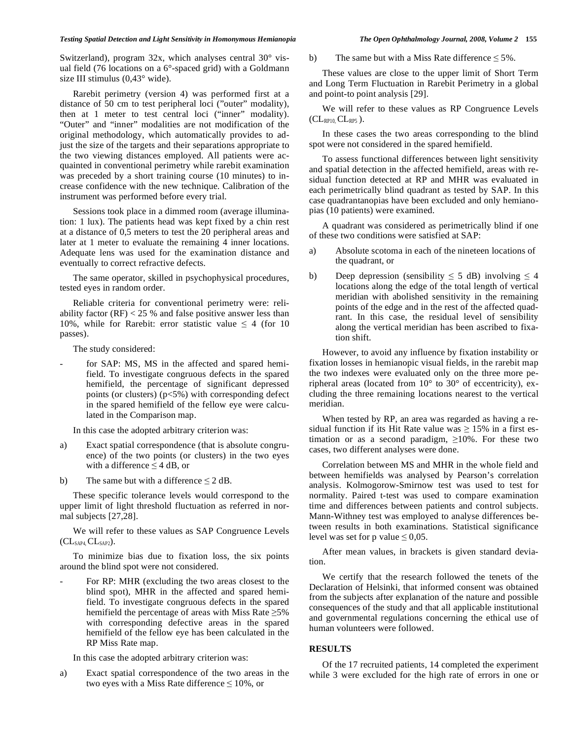### *Testing Spatial Detection and Light Sensitivity in Homonymous Hemianopia The Open Ophthalmology Journal, 2008, Volume 2* **155**

Switzerland), program 32x, which analyses central 30° visual field (76 locations on a 6°-spaced grid) with a Goldmann size III stimulus (0,43° wide).

 Rarebit perimetry (version 4) was performed first at a distance of 50 cm to test peripheral loci ("outer" modality), then at 1 meter to test central loci ("inner" modality). "Outer" and "inner" modalities are not modification of the original methodology, which automatically provides to adjust the size of the targets and their separations appropriate to the two viewing distances employed. All patients were acquainted in conventional perimetry while rarebit examination was preceded by a short training course (10 minutes) to increase confidence with the new technique. Calibration of the instrument was performed before every trial.

 Sessions took place in a dimmed room (average illumination: 1 lux). The patients head was kept fixed by a chin rest at a distance of 0,5 meters to test the 20 peripheral areas and later at 1 meter to evaluate the remaining 4 inner locations. Adequate lens was used for the examination distance and eventually to correct refractive defects.

 The same operator, skilled in psychophysical procedures, tested eyes in random order.

 Reliable criteria for conventional perimetry were: reliability factor  $(RF) < 25$  % and false positive answer less than 10%, while for Rarebit: error statistic value  $\leq 4$  (for 10) passes).

The study considered:

for SAP: MS, MS in the affected and spared hemifield. To investigate congruous defects in the spared hemifield, the percentage of significant depressed points (or clusters) (p<5%) with corresponding defect in the spared hemifield of the fellow eye were calculated in the Comparison map.

In this case the adopted arbitrary criterion was:

- a) Exact spatial correspondence (that is absolute congruence) of the two points (or clusters) in the two eyes with a difference  $\leq$  4 dB, or
- b) The same but with a difference  $\leq$  2 dB.

 These specific tolerance levels would correspond to the upper limit of light threshold fluctuation as referred in normal subjects [27,28].

 We will refer to these values as SAP Congruence Levels  $CL_{SAP4} CL_{SAP2}$ ).

 To minimize bias due to fixation loss, the six points around the blind spot were not considered.

For RP: MHR (excluding the two areas closest to the blind spot), MHR in the affected and spared hemifield. To investigate congruous defects in the spared hemifield the percentage of areas with Miss Rate  $\geq 5\%$ with corresponding defective areas in the spared hemifield of the fellow eye has been calculated in the RP Miss Rate map.

In this case the adopted arbitrary criterion was:

a) Exact spatial correspondence of the two areas in the two eyes with a Miss Rate difference  $\leq 10\%$ , or

b) The same but with a Miss Rate difference  $\leq 5\%$ .

 These values are close to the upper limit of Short Term and Long Term Fluctuation in Rarebit Perimetry in a global and point-to point analysis [29].

 We will refer to these values as RP Congruence Levels  $CL_{RP10}$ ,  $CL_{RP5}$ ).

 In these cases the two areas corresponding to the blind spot were not considered in the spared hemifield.

 To assess functional differences between light sensitivity and spatial detection in the affected hemifield, areas with residual function detected at RP and MHR was evaluated in each perimetrically blind quadrant as tested by SAP. In this case quadrantanopias have been excluded and only hemianopias (10 patients) were examined.

 A quadrant was considered as perimetrically blind if one of these two conditions were satisfied at SAP:

- a) Absolute scotoma in each of the nineteen locations of the quadrant, or
- b) Deep depression (sensibility  $\leq 5$  dB) involving  $\leq 4$ locations along the edge of the total length of vertical meridian with abolished sensitivity in the remaining points of the edge and in the rest of the affected quadrant. In this case, the residual level of sensibility along the vertical meridian has been ascribed to fixation shift.

 However, to avoid any influence by fixation instability or fixation losses in hemianopic visual fields, in the rarebit map the two indexes were evaluated only on the three more peripheral areas (located from  $10^{\circ}$  to  $30^{\circ}$  of eccentricity), excluding the three remaining locations nearest to the vertical meridian.

 When tested by RP, an area was regarded as having a residual function if its Hit Rate value was  $\geq 15\%$  in a first estimation or as a second paradigm,  $\geq 10\%$ . For these two cases, two different analyses were done.

 Correlation between MS and MHR in the whole field and between hemifields was analysed by Pearson's correlation analysis. Kolmogorow-Smirnow test was used to test for normality. Paired t-test was used to compare examination time and differences between patients and control subjects. Mann-Withney test was employed to analyse differences between results in both examinations. Statistical significance level was set for p value  $\leq 0.05$ .

 After mean values, in brackets is given standard deviation.

 We certify that the research followed the tenets of the Declaration of Helsinki, that informed consent was obtained from the subjects after explanation of the nature and possible consequences of the study and that all applicable institutional and governmental regulations concerning the ethical use of human volunteers were followed.

# **RESULTS**

 Of the 17 recruited patients, 14 completed the experiment while 3 were excluded for the high rate of errors in one or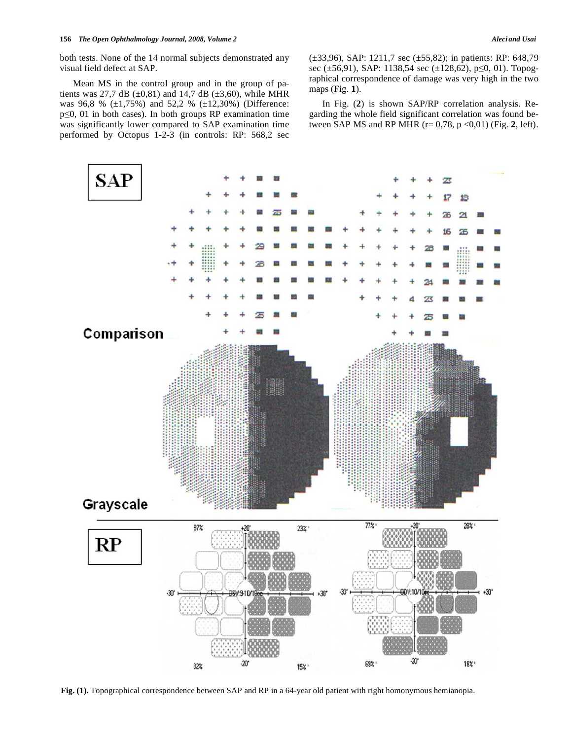both tests. None of the 14 normal subjects demonstrated any visual field defect at SAP.

 Mean MS in the control group and in the group of patients was 27,7 dB ( $\pm 0.81$ ) and 14,7 dB ( $\pm 3.60$ ), while MHR was 96,8 % (±1,75%) and 52,2 % (±12,30%) (Difference:  $p\leq 0$ , 01 in both cases). In both groups RP examination time was significantly lower compared to SAP examination time performed by Octopus 1-2-3 (in controls: RP: 568,2 sec (±33,96), SAP: 1211,7 sec (±55,82); in patients: RP: 648,79 sec ( $\pm$ 56,91), SAP: 1138,54 sec ( $\pm$ 128,62), p $\leq$ 0, 01). Topographical correspondence of damage was very high in the two maps (Fig. **1**).

 In Fig. (**2**) is shown SAP/RP correlation analysis. Regarding the whole field significant correlation was found between SAP MS and RP MHR (r= 0,78, p <0,01) (Fig. **2**, left).



**Fig. (1).** Topographical correspondence between SAP and RP in a 64-year old patient with right homonymous hemianopia.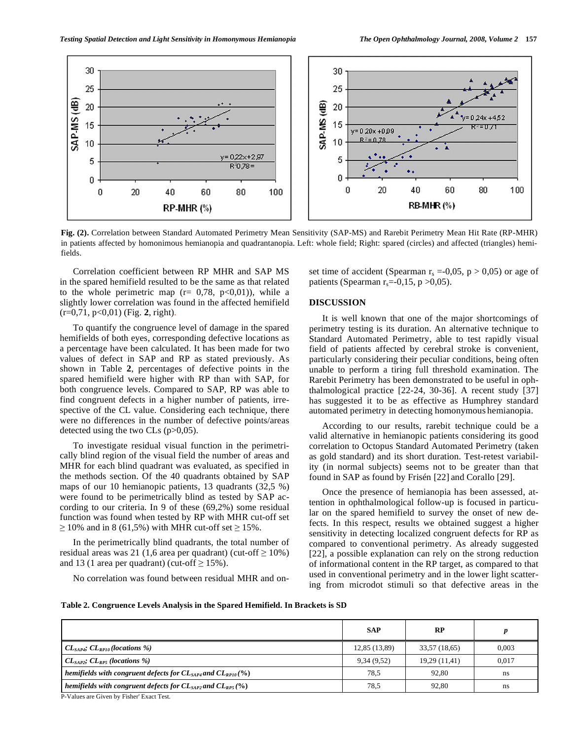

**Fig. (2).** Correlation between Standard Automated Perimetry Mean Sensitivity (SAP-MS) and Rarebit Perimetry Mean Hit Rate (RP-MHR) in patients affected by homonimous hemianopia and quadrantanopia. Left: whole field; Right: spared (circles) and affected (triangles) hemifields.

 Correlation coefficient between RP MHR and SAP MS in the spared hemifield resulted to be the same as that related to the whole perimetric map  $(r= 0.78, p<0.01)$ , while a slightly lower correlation was found in the affected hemifield (r=0,71, p<0,01) (Fig. **2**, right).

 To quantify the congruence level of damage in the spared hemifields of both eyes, corresponding defective locations as a percentage have been calculated. It has been made for two values of defect in SAP and RP as stated previously. As shown in Table **2**, percentages of defective points in the spared hemifield were higher with RP than with SAP, for both congruence levels. Compared to SAP, RP was able to find congruent defects in a higher number of patients, irrespective of the CL value. Considering each technique, there were no differences in the number of defective points/areas detected using the two CLs  $(p>0,05)$ .

 To investigate residual visual function in the perimetrically blind region of the visual field the number of areas and MHR for each blind quadrant was evaluated, as specified in the methods section. Of the 40 quadrants obtained by SAP maps of our 10 hemianopic patients, 13 quadrants (32,5 %) were found to be perimetrically blind as tested by SAP according to our criteria. In 9 of these (69,2%) some residual function was found when tested by RP with MHR cut-off set  $\geq$  10% and in 8 (61,5%) with MHR cut-off set  $\geq$  15%.

 In the perimetrically blind quadrants, the total number of residual areas was 21 (1,6 area per quadrant) (cut-off  $\geq 10\%$ ) and 13 (1 area per quadrant) (cut-off  $\geq$  15%).

No correlation was found between residual MHR and on-

set time of accident (Spearman  $r_s = 0.05$ , p > 0.05) or age of patients (Spearman  $r_s = -0.15$ , p  $>0.05$ ).

### **DISCUSSION**

 It is well known that one of the major shortcomings of perimetry testing is its duration. An alternative technique to Standard Automated Perimetry, able to test rapidly visual field of patients affected by cerebral stroke is convenient, particularly considering their peculiar conditions, being often unable to perform a tiring full threshold examination. The Rarebit Perimetry has been demonstrated to be useful in ophthalmological practice [22-24, 30-36]. A recent study [37] has suggested it to be as effective as Humphrey standard automated perimetry in detecting homonymous hemianopia.

 According to our results, rarebit technique could be a valid alternative in hemianopic patients considering its good correlation to Octopus Standard Automated Perimetry (taken as gold standard) and its short duration. Test-retest variability (in normal subjects) seems not to be greater than that found in SAP as found by Frisén [22] and Corallo [29].

 Once the presence of hemianopia has been assessed, attention in ophthalmological follow-up is focused in particular on the spared hemifield to survey the onset of new defects. In this respect, results we obtained suggest a higher sensitivity in detecting localized congruent defects for RP as compared to conventional perimetry. As already suggested [22], a possible explanation can rely on the strong reduction of informational content in the RP target, as compared to that used in conventional perimetry and in the lower light scattering from microdot stimuli so that defective areas in the

**Table 2. Congruence Levels Analysis in the Spared Hemifield. In Brackets is SD** 

|                                                                                     | <b>SAP</b>    | <b>RP</b>     |       |
|-------------------------------------------------------------------------------------|---------------|---------------|-------|
| $CL_{SAP4}$ ; $CL_{RPI0}$ (locations %)                                             | 12,85 (13,89) | 33,57 (18,65) | 0.003 |
| $CL_{SAP2}; CL_{RPS}$ (locations %)                                                 | 9,34(9,52)    | 19,29 (11,41) | 0,017 |
| hemifields with congruent defects for $CL_{\text{SAP4}}$ and $CL_{\text{RPI0}}$ (%) | 78.5          | 92.80         | ns    |
| hemifields with congruent defects for $CL_{SAP2}$ and $CL_{RPS}(%)$                 | 78.5          | 92.80         | ns    |

P-Values are Given by Fisher' Exact Test.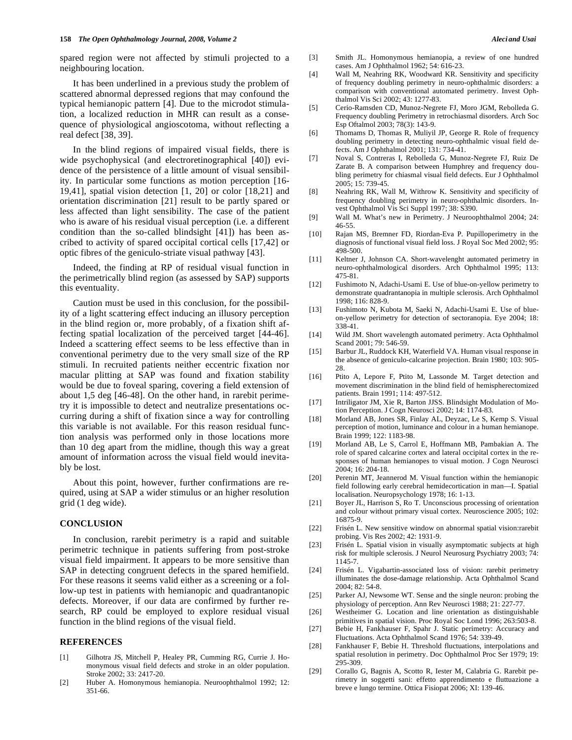spared region were not affected by stimuli projected to a neighbouring location.

 It has been underlined in a previous study the problem of scattered abnormal depressed regions that may confound the typical hemianopic pattern [4]. Due to the microdot stimulation, a localized reduction in MHR can result as a consequence of physiological angioscotoma, without reflecting a real defect [38, 39].

 In the blind regions of impaired visual fields, there is wide psychophysical (and electroretinographical [40]) evidence of the persistence of a little amount of visual sensibility. In particular some functions as motion perception [16- 19,41], spatial vision detection [1, 20] or color [18,21] and orientation discrimination [21] result to be partly spared or less affected than light sensibility. The case of the patient who is aware of his residual visual perception (i.e. a different condition than the so-called blindsight [41]) has been ascribed to activity of spared occipital cortical cells [17,42] or optic fibres of the geniculo-striate visual pathway [43].

 Indeed, the finding at RP of residual visual function in the perimetrically blind region (as assessed by SAP) supports this eventuality.

 Caution must be used in this conclusion, for the possibility of a light scattering effect inducing an illusory perception in the blind region or, more probably, of a fixation shift affecting spatial localization of the perceived target [44-46]. Indeed a scattering effect seems to be less effective than in conventional perimetry due to the very small size of the RP stimuli. In recruited patients neither eccentric fixation nor macular plitting at SAP was found and fixation stability would be due to foveal sparing, covering a field extension of about 1,5 deg [46-48]. On the other hand, in rarebit perimetry it is impossible to detect and neutralize presentations occurring during a shift of fixation since a way for controlling this variable is not available. For this reason residual function analysis was performed only in those locations more than 10 deg apart from the midline, though this way a great amount of information across the visual field would inevitably be lost.

 About this point, however, further confirmations are required, using at SAP a wider stimulus or an higher resolution grid (1 deg wide).

# **CONCLUSION**

 In conclusion, rarebit perimetry is a rapid and suitable perimetric technique in patients suffering from post-stroke visual field impairment. It appears to be more sensitive than SAP in detecting congruent defects in the spared hemifield. For these reasons it seems valid either as a screening or a follow-up test in patients with hemianopic and quadrantanopic defects. Moreover, if our data are confirmed by further research, RP could be employed to explore residual visual function in the blind regions of the visual field.

### **REFERENCES**

- [1] Gilhotra JS, Mitchell P, Healey PR, Cumming RG, Currie J. Homonymous visual field defects and stroke in an older population. Stroke 2002; 33: 2417-20.
- [2] Huber A. Homonymous hemianopia. Neuroophthalmol 1992; 12: 351-66.
- [3] Smith JL. Homonymous hemianopia, a review of one hundred cases. Am J Ophthalmol 1962; 54: 616-23.
- [4] Wall M, Neahring RK, Woodward KR. Sensitivity and specificity of frequency doubling perimetry in neuro-ophthalmic disorders: a comparison with conventional automated perimetry. Invest Ophthalmol Vis Sci 2002; 43: 1277-83.
- [5] Cerio-Ramsden CD, Munoz-Negrete FJ, Moro JGM, Rebolleda G. Frequency doubling Perimetry in retrochiasmal disorders. Arch Soc Esp Oftalmol 2003; 78(3): 143-9.
- [6] Thomams D, Thomas R, Muliyil JP, George R. Role of frequency doubling perimetry in detecting neuro-ophthalmic visual field defects. Am J Ophthalmol 2001; 131: 734-41.
- [7] Noval S, Contreras I, Rebolleda G, Munoz-Negrete FJ, Ruiz De Zarate B. A comparison between Humphrey and frequency doubling perimetry for chiasmal visual field defects. Eur J Ophthalmol 2005; 15: 739-45.
- [8] Neahring RK, Wall M, Withrow K. Sensitivity and specificity of frequency doubling perimetry in neuro-ophthalmic disorders. Invest Ophthalmol Vis Sci Suppl 1997; 38: S390.
- [9] Wall M. What's new in Perimetry. J Neuroophthalmol 2004; 24: 46-55.
- [10] Rajan MS, Bremner FD, Riordan-Eva P. Pupilloperimetry in the diagnosis of functional visual field loss. J Royal Soc Med 2002; 95: 498-500.
- [11] Keltner J, Johnson CA. Short-wavelenght automated perimetry in neuro-ophthalmological disorders. Arch Ophthalmol 1995; 113: 475-81.
- [12] Fushimoto N, Adachi-Usami E. Use of blue-on-yellow perimetry to demonstrate quadrantanopia in multiple sclerosis. Arch Ophthalmol 1998; 116: 828-9.
- [13] Fushimoto N, Kubota M, Saeki N, Adachi-Usami E. Use of blueon-yellow perimetry for detection of sectoranopia. Eye 2004; 18: 338-41.
- [14] Wild JM. Short wavelength automated perimetry. Acta Ophthalmol Scand 2001; 79: 546-59.
- [15] Barbur JL, Ruddock KH, Waterfield VA. Human visual response in the absence of geniculo-calcarine projection. Brain 1980; 103: 905- 28
- [16] Ptito A, Lepore F, Ptito M, Lassonde M. Target detection and movement discrimination in the blind field of hemispherectomized patients. Brain 1991; 114: 497-512.
- [17] Intriligator JM, Xie R, Barton JJSS. Blindsight Modulation of Motion Perception. J Cogn Neurosci 2002; 14: 1174-83.
- [18] Morland AB, Jones SR, Finlay AL, Deyzac, Le S, Kemp S. Visual perception of motion, luminance and colour in a human hemianope. Brain 1999; 122: 1183-98.
- [19] Morland AB, Le S, Carrol E, Hoffmann MB, Pambakian A. The role of spared calcarine cortex and lateral occipital cortex in the responses of human hemianopes to visual motion. J Cogn Neurosci 2004; 16: 204-18.
- [20] Perenin MT, Jeannerod M. Visual function within the hemianopic field following early cerebral hemidecortication in man—I. Spatial localisation. Neuropsychology 1978; 16: 1-13.
- [21] Boyer JL, Harrison S, Ro T. Unconscious processing of orientation and colour without primary visual cortex. Neuroscience 2005; 102: 16875-9.
- [22] Frisén L. New sensitive window on abnormal spatial vision:rarebit probing. Vis Res 2002; 42: 1931-9.
- [23] Frisén L. Spatial vision in visually asymptomatic subjects at high risk for multiple sclerosis. J Neurol Neurosurg Psychiatry 2003; 74: 1145-7.
- [24] Frisén L. Vigabartin-associated loss of vision: rarebit perimetry illuminates the dose-damage relationship. Acta Ophthalmol Scand 2004; 82: 54-8.
- [25] Parker AJ, Newsome WT. Sense and the single neuron: probing the physiology of perception. Ann Rev Neurosci 1988; 21: 227-77.
- [26] Westheimer G. Location and line orientation as distinguishable primitives in spatial vision. Proc Royal Soc Lond 1996; 263:503-8.
- [27] Bebie H, Fankhauser F, Spahr J. Static perimetry: Accuracy and Fluctuations. Acta Ophthalmol Scand 1976; 54: 339-49.
- [28] Fankhauser F, Bebie H. Threshold fluctuations, interpolations and spatial resolution in perimetry. Doc Ophthalmol Proc Ser 1979; 19: 295-309.
- [29] Corallo G, Bagnis A, Scotto R, Iester M, Calabria G. Rarebit perimetry in soggetti sani: effetto apprendimento e fluttuazione a breve e lungo termine. Ottica Fisiopat 2006; XI: 139-46.